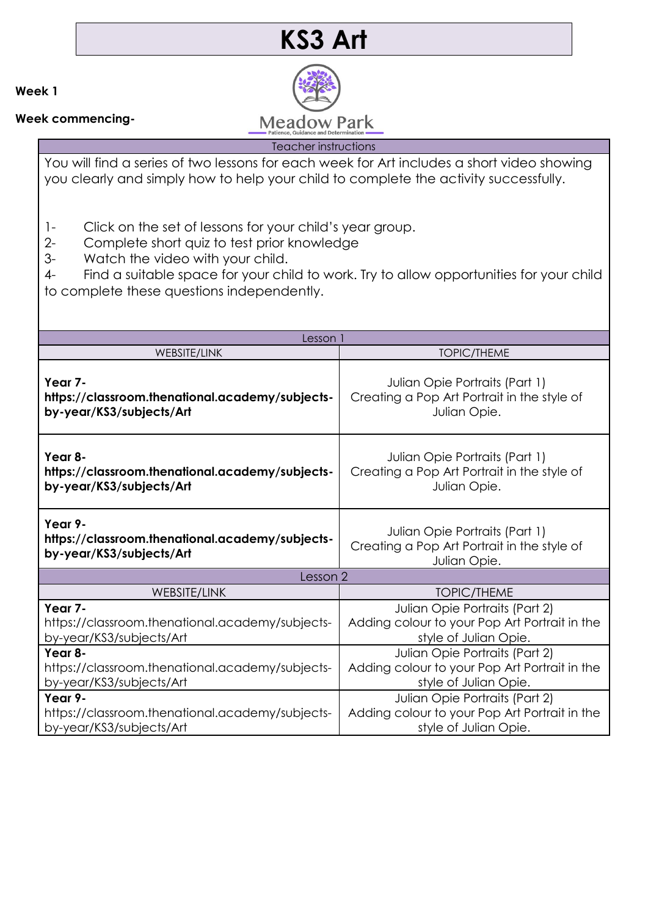## **KS3 Art**

**Week 1**

**Week commencing-**

**Meadow Park** 

Teacher instructions

You will find a series of two lessons for each week for Art includes a short video showing you clearly and simply how to help your child to complete the activity successfully.

- 1- Click on the set of lessons for your child's year group.
- 2- Complete short quiz to test prior knowledge
- 3- Watch the video with your child.

4- Find a suitable space for your child to work. Try to allow opportunities for your child to complete these questions independently.

| Lesson i                                        |                                               |
|-------------------------------------------------|-----------------------------------------------|
| <b>WEBSITE/LINK</b>                             | <b>TOPIC/THEME</b>                            |
| Year 7-                                         | Julian Opie Portraits (Part 1)                |
| https://classroom.thenational.academy/subjects- | Creating a Pop Art Portrait in the style of   |
| by-year/KS3/subjects/Art                        | Julian Opie.                                  |
| Year 8-                                         | Julian Opie Portraits (Part 1)                |
| https://classroom.thenational.academy/subjects- | Creating a Pop Art Portrait in the style of   |
| by-year/KS3/subjects/Art                        | Julian Opie.                                  |
| Year 9-                                         | Julian Opie Portraits (Part 1)                |
| https://classroom.thenational.academy/subjects- | Creating a Pop Art Portrait in the style of   |
| by-year/KS3/subjects/Art                        | Julian Opie.                                  |
| Lesson 2                                        |                                               |
| <b>WEBSITE/LINK</b>                             | <b>TOPIC/THEME</b>                            |
| Year 7-                                         | Julian Opie Portraits (Part 2)                |
| https://classroom.thenational.academy/subjects- | Adding colour to your Pop Art Portrait in the |
| by-year/KS3/subjects/Art                        | style of Julian Opie.                         |
| Year 8-                                         | Julian Opie Portraits (Part 2)                |
| https://classroom.thenational.academy/subjects- | Adding colour to your Pop Art Portrait in the |
| by-year/KS3/subjects/Art                        | style of Julian Opie.                         |
| Year 9-                                         | Julian Opie Portraits (Part 2)                |
| https://classroom.thenational.academy/subjects- | Adding colour to your Pop Art Portrait in the |
| by-year/KS3/subjects/Art                        | style of Julian Opie.                         |